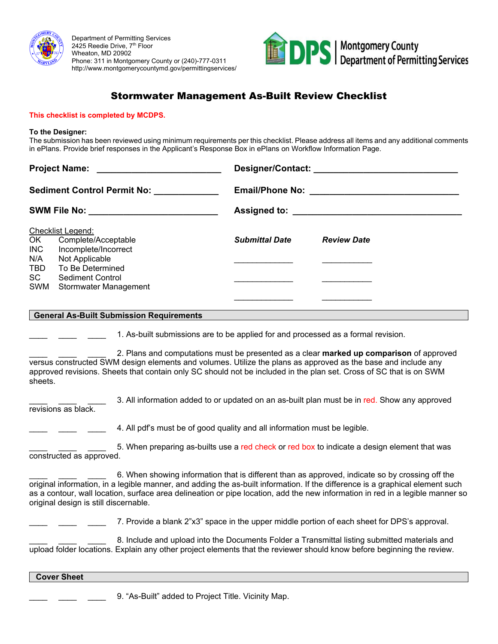

Department of Permitting Services 2425 Reedie Drive, 7<sup>th</sup> Floor Wheaton, MD 20902 Phone: 311 in Montgomery County or (240)-777-0311 http://www.montgomerycountymd.gov/permittingservices/



# Stormwater Management As-Built Review Checklist

#### **This checklist is completed by MCDPS.**

#### **To the Designer:**

The submission has been reviewed using minimum requirements per this checklist. Please address all items and any additional comments in ePlans. Provide brief responses in the Applicant's Response Box in ePlans on Workflow Information Page.

| Sediment Control Permit No: ____________<br>SWM File No: __________________________ |                                          |                       |                    |  |
|-------------------------------------------------------------------------------------|------------------------------------------|-----------------------|--------------------|--|
|                                                                                     |                                          |                       |                    |  |
|                                                                                     |                                          |                       | Checklist Legend:  |  |
| OK                                                                                  | Complete/Acceptable                      | <b>Submittal Date</b> | <b>Review Date</b> |  |
| <b>INC</b>                                                                          | Incomplete/Incorrect                     |                       |                    |  |
| N/A                                                                                 | Not Applicable                           |                       |                    |  |
| <b>TBD</b>                                                                          | To Be Determined                         |                       |                    |  |
| SC                                                                                  | <b>Sediment Control</b>                  |                       |                    |  |
| SWM                                                                                 | Stormwater Management                    |                       |                    |  |
|                                                                                     |                                          |                       |                    |  |
|                                                                                     | Conoral Ac Ruilt Submission Poquiromonts |                       |                    |  |

#### **General As-Built Submission Requirements**

1. As-built submissions are to be applied for and processed as a formal revision.

\_\_\_\_ \_\_\_\_ \_\_\_\_ 2. Plans and computations must be presented as a clear **marked up comparison** of approved versus constructed SWM design elements and volumes. Utilize the plans as approved as the base and include any approved revisions. Sheets that contain only SC should not be included in the plan set. Cross of SC that is on SWM sheets.

3. All information added to or updated on an as-built plan must be in red. Show any approved revisions as black.

4. All pdf's must be of good quality and all information must be legible.

5. When preparing as-builts use a red check or red box to indicate a design element that was constructed as approved.

\_\_\_\_ \_\_\_\_ \_\_\_\_ 6. When showing information that is different than as approved, indicate so by crossing off the original information, in a legible manner, and adding the as-built information. If the difference is a graphical element such as a contour, wall location, surface area delineation or pipe location, add the new information in red in a legible manner so original design is still discernable.

\_\_\_\_ \_\_\_\_ \_\_\_\_ 7. Provide a blank 2"x3" space in the upper middle portion of each sheet for DPS's approval.

\_\_\_\_ \_\_\_\_ \_\_\_\_ 8. Include and upload into the Documents Folder a Transmittal listing submitted materials and upload folder locations. Explain any other project elements that the reviewer should know before beginning the review.

# **Cover Sheet**

9. "As-Built" added to Project Title. Vicinity Map.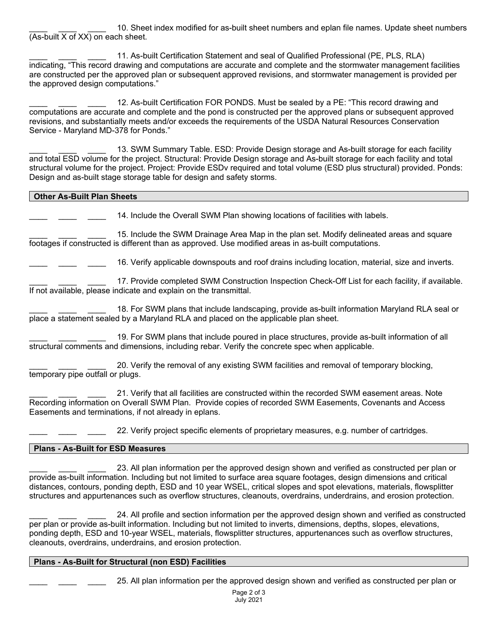10. Sheet index modified for as-built sheet numbers and eplan file names. Update sheet numbers  $\sqrt{(As$ -built X of XX) on each sheet.

11. As-built Certification Statement and seal of Qualified Professional (PE, PLS, RLA) indicating, "This record drawing and computations are accurate and complete and the stormwater management facilities are constructed per the approved plan or subsequent approved revisions, and stormwater management is provided per the approved design computations."

12. As-built Certification FOR PONDS. Must be sealed by a PE: "This record drawing and computations are accurate and complete and the pond is constructed per the approved plans or subsequent approved revisions, and substantially meets and/or exceeds the requirements of the USDA Natural Resources Conservation Service - Maryland MD-378 for Ponds."

13. SWM Summary Table. ESD: Provide Design storage and As-built storage for each facility and total ESD volume for the project. Structural: Provide Design storage and As-built storage for each facility and total structural volume for the project. Project: Provide ESDv required and total volume (ESD plus structural) provided. Ponds: Design and as-built stage storage table for design and safety storms.

# **Other As-Built Plan Sheets**

 $\overline{a}$ 

14. Include the Overall SWM Plan showing locations of facilities with labels.

15. Include the SWM Drainage Area Map in the plan set. Modify delineated areas and square footages if constructed is different than as approved. Use modified areas in as-built computations.

16. Verify applicable downspouts and roof drains including location, material, size and inverts.

17. Provide completed SWM Construction Inspection Check-Off List for each facility, if available. If not available, please indicate and explain on the transmittal.

18. For SWM plans that include landscaping, provide as-built information Maryland RLA seal or place a statement sealed by a Maryland RLA and placed on the applicable plan sheet.

19. For SWM plans that include poured in place structures, provide as-built information of all structural comments and dimensions, including rebar. Verify the concrete spec when applicable.

\_\_\_\_ \_\_\_\_ \_\_\_\_ 20. Verify the removal of any existing SWM facilities and removal of temporary blocking, temporary pipe outfall or plugs.

21. Verify that all facilities are constructed within the recorded SWM easement areas. Note Recording information on Overall SWM Plan. Provide copies of recorded SWM Easements, Covenants and Access Easements and terminations, if not already in eplans.

22. Verify project specific elements of proprietary measures, e.g. number of cartridges.

### **Plans - As-Built for ESD Measures**

\_\_\_\_ \_\_\_\_ \_\_\_\_ 23. All plan information per the approved design shown and verified as constructed per plan or provide as-built information. Including but not limited to surface area square footages, design dimensions and critical distances, contours, ponding depth, ESD and 10 year WSEL, critical slopes and spot elevations, materials, flowsplitter structures and appurtenances such as overflow structures, cleanouts, overdrains, underdrains, and erosion protection.

24. All profile and section information per the approved design shown and verified as constructed per plan or provide as-built information. Including but not limited to inverts, dimensions, depths, slopes, elevations, ponding depth, ESD and 10-year WSEL, materials, flowsplitter structures, appurtenances such as overflow structures, cleanouts, overdrains, underdrains, and erosion protection.

# **Plans - As-Built for Structural (non ESD) Facilities**

\_\_\_\_ \_\_\_\_ \_\_\_\_ 25. All plan information per the approved design shown and verified as constructed per plan or

Page 2 of 3 July 2021